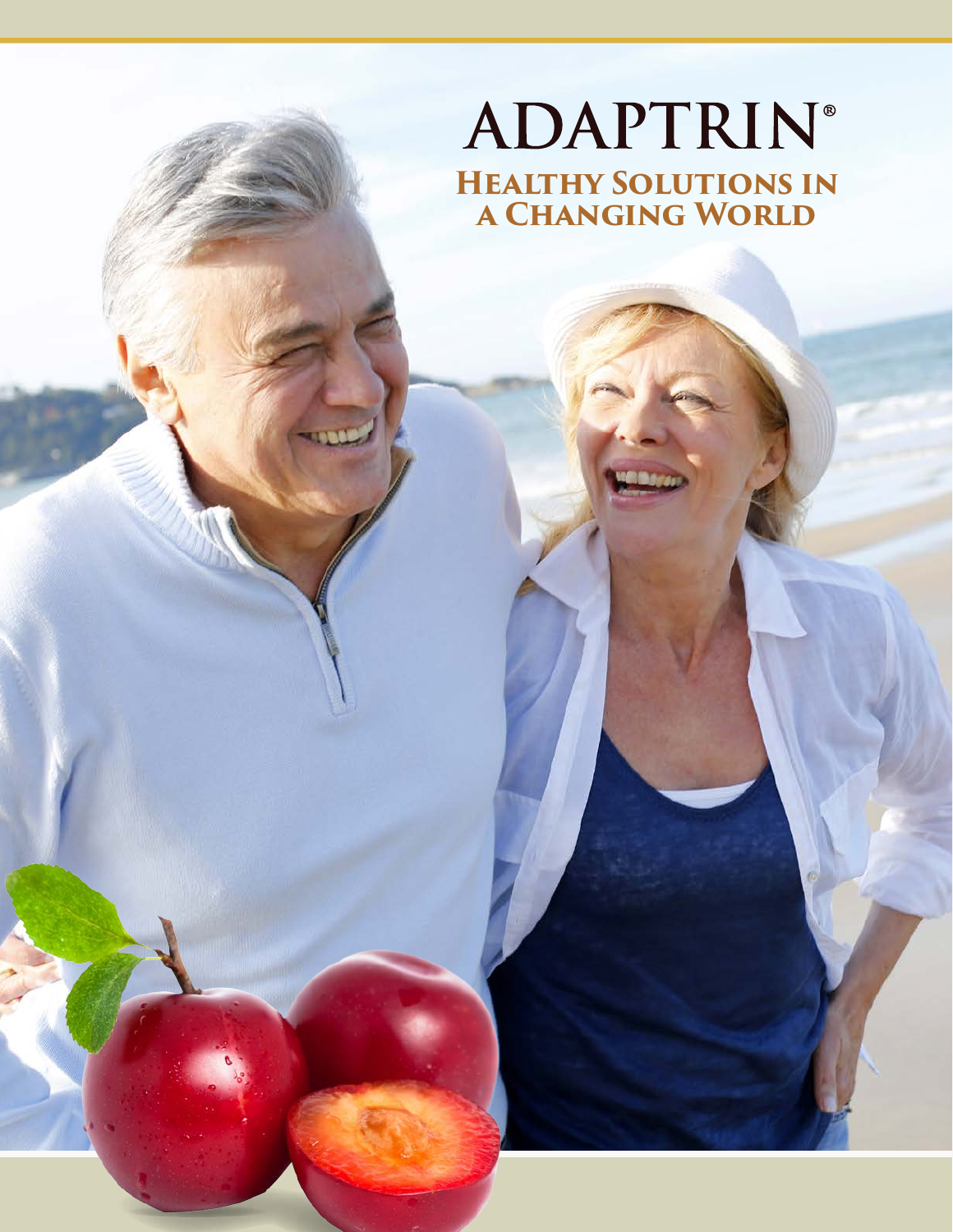# **ADAPTRIN® Healthy Solutions in a Changing World**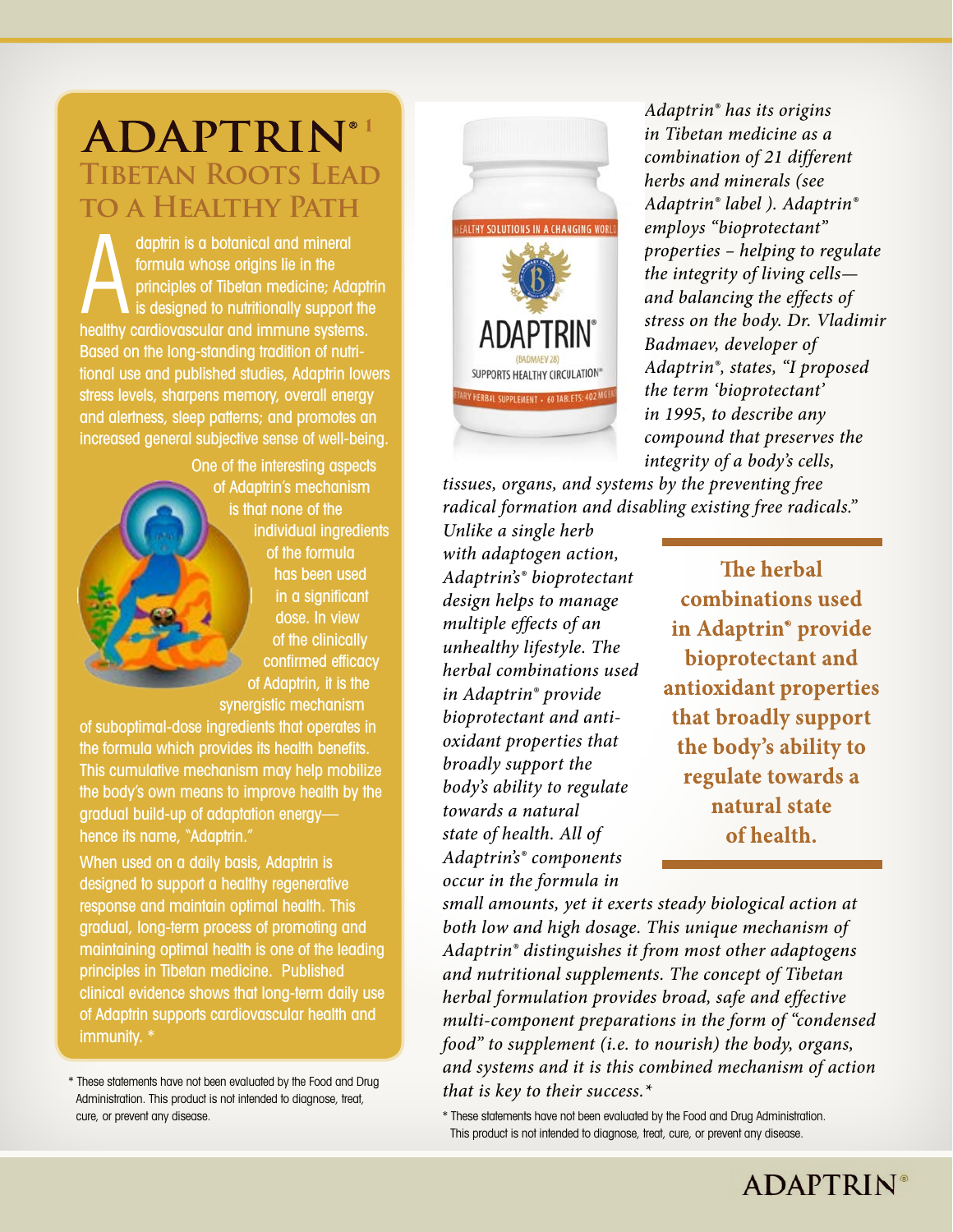# **Tibetan Roots Lead to a Healthy Path** ADAPTRIN®1

daptrin is a botanical and mineral formula whose origins lie in the principles of Tibetan medicine; Adaptrin is designed to nutritionally support the healthy cardiovascular and immune systems. Based on the long-standing tradition of nutritional use and published studies, Adaptrin lowers stress levels, sharpens memory, overall energy and alertness, sleep patterns; and promotes an increased general subjective sense of well-being.

> One of the interesting aspects of Adaptrin's mechanism is that none of the individual ingredients of the formula has been used in a significant dose. In view of the clinically confirmed efficacy of Adaptrin, it is the synergistic mechanism

of suboptimal-dose ingredients that operates in the formula which provides its health benefits. This cumulative mechanism may help mobilize the body's own means to improve health by the gradual build-up of adaptation energy hence its name, "Adaptrin."

When used on a daily basis, Adaptrin is designed to support a healthy regenerative response and maintain optimal health. This gradual, long-term process of promoting and maintaining optimal health is one of the leading principles in Tibetan medicine. Published clinical evidence shows that long-term daily use of Adaptrin supports cardiovascular health and immunity. \*

\* These statements have not been evaluated by the Food and Drug Administration. This product is not intended to diagnose, treat, cure, or prevent any disease.



*Adaptrin® has its origins in Tibetan medicine as a combination of 21 different herbs and minerals (see Adaptrin® label ). Adaptrin® employs "bioprotectant" properties – helping to regulate the integrity of living cells and balancing the effects of stress on the body. Dr. Vladimir Badmaev, developer of Adaptrin®, states, "I proposed the term 'bioprotectant' in 1995, to describe any compound that preserves the integrity of a body's cells,* 

*tissues, organs, and systems by the preventing free radical formation and disabling existing free radicals."* 

*Unlike a single herb with adaptogen action, Adaptrin's® bioprotectant design helps to manage multiple effects of an unhealthy lifestyle. The herbal combinations used in Adaptrin® provide bioprotectant and antioxidant properties that broadly support the body's ability to regulate towards a natural state of health. All of Adaptrin's® components occur in the formula in* 

The herbal combinations used in Adaptrin<sup>®</sup> provide bioprotectant and antioxidant properties that broadly support the body's ability to regulate towards a natural state of health.

*small amounts, yet it exerts steady biological action at both low and high dosage. This unique mechanism of Adaptrin® distinguishes it from most other adaptogens and nutritional supplements. The concept of Tibetan herbal formulation provides broad, safe and effective multi-component preparations in the form of "condensed food" to supplement (i.e. to nourish) the body, organs, and systems and it is this combined mechanism of action that is key to their success.\** 

\* These statements have not been evaluated by the Food and Drug Administration. This product is not intended to diagnose, treat, cure, or prevent any disease.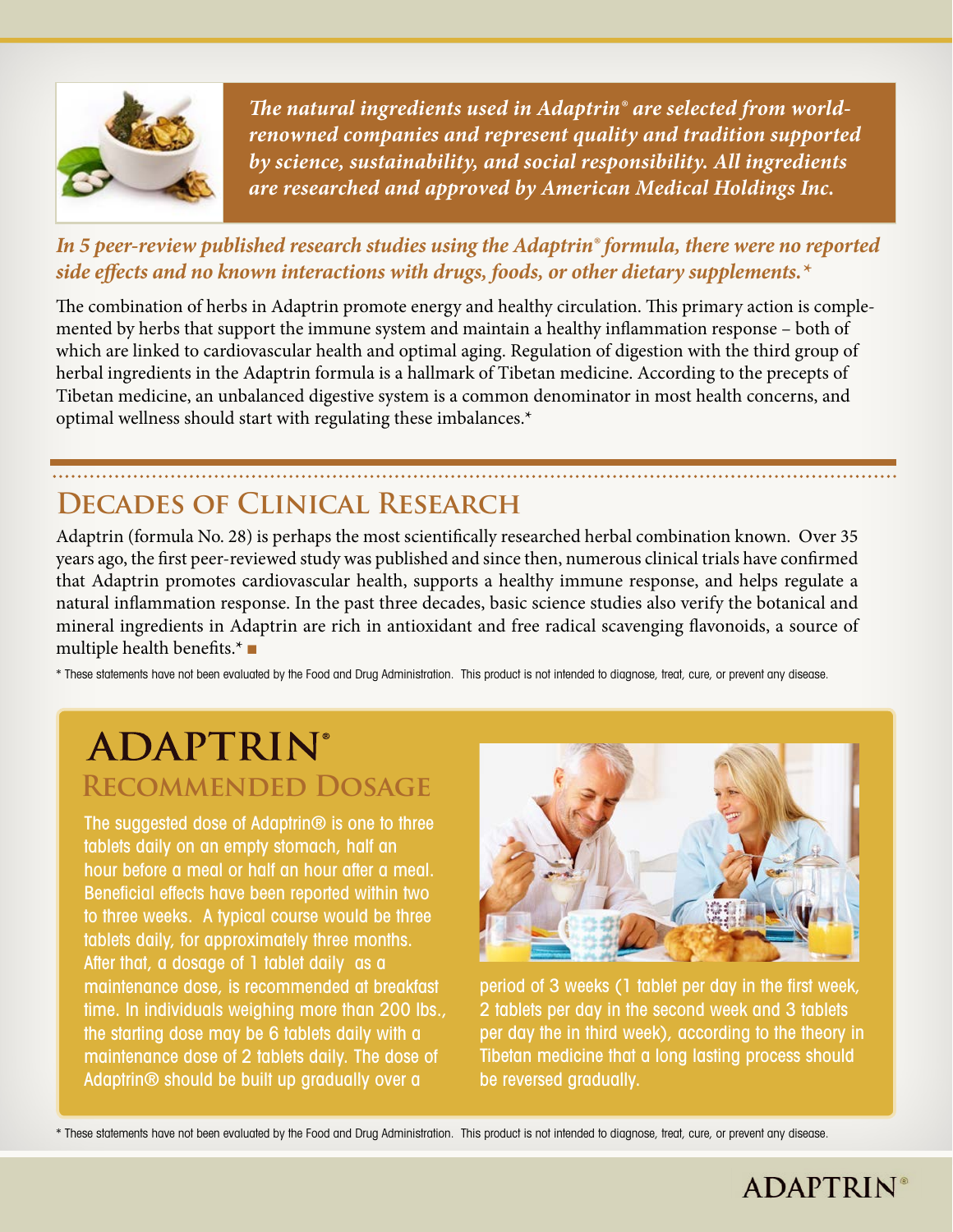

*The natural ingredients used in Adaptrin® are selected from worldrenowned companies and represent quality and tradition supported by science, sustainability, and social responsibility. All ingredients are researched and approved by American Medical Holdings Inc.* 

#### *In 5 peer-review published research studies using the Adaptrin® formula, there were no reported side effects and no known interactions with drugs, foods, or other dietary supplements.\**

The combination of herbs in Adaptrin promote energy and healthy circulation. This primary action is complemented by herbs that support the immune system and maintain a healthy inflammation response – both of which are linked to cardiovascular health and optimal aging. Regulation of digestion with the third group of herbal ingredients in the Adaptrin formula is a hallmark of Tibetan medicine. According to the precepts of Tibetan medicine, an unbalanced digestive system is a common denominator in most health concerns, and optimal wellness should start with regulating these imbalances.\*

## **Decades of Clinical Research**

Adaptrin (formula No. 28) is perhaps the most scientifically researched herbal combination known. Over 35 years ago, the first peer-reviewed study was published and since then, numerous clinical trials have confirmed that Adaptrin promotes cardiovascular health, supports a healthy immune response, and helps regulate a natural inflammation response. In the past three decades, basic science studies also verify the botanical and mineral ingredients in Adaptrin are rich in antioxidant and free radical scavenging flavonoids, a source of multiple health benefits.\* ■

\* These statements have not been evaluated by the Food and Drug Administration. This product is not intended to diagnose, treat, cure, or prevent any disease.

# **ADAPTRIN® Recommended Dosage**

The suggested dose of Adaptrin<sup>®</sup> is one to three tablets daily on an empty stomach, half an hour before a meal or half an hour after a meal. Beneficial effects have been reported within two to three weeks. A typical course would be three tablets daily, for approximately three months. After that, a dosage of 1 tablet daily as a maintenance dose, is recommended at breakfast time. In individuals weighing more than 200 lbs., the starting dose may be 6 tablets daily with a maintenance dose of 2 tablets daily. The dose of Adaptrin® should be built up gradually over a



period of 3 weeks (1 tablet per day in the first week, 2 tablets per day in the second week and 3 tablets per day the in third week), according to the theory in Tibetan medicine that a long lasting process should be reversed gradually.

\* These statements have not been evaluated by the Food and Drug Administration. This product is not intended to diagnose, treat, cure, or prevent any disease.

### **ADAPTRIN®**